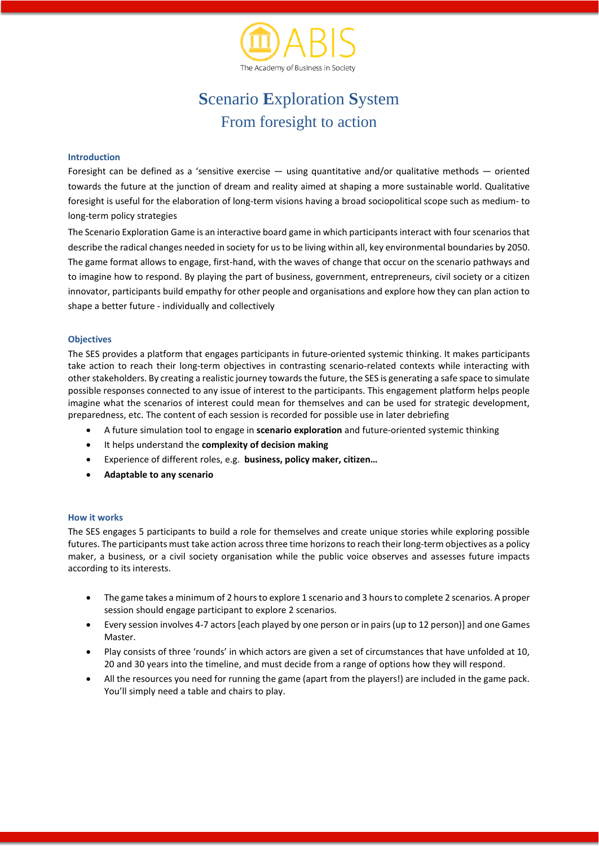

# **S**cenario **E**xploration **S**ystem From foresight to action

# **Introduction**

Foresight can be defined as a 'sensitive exercise  $-$  using quantitative and/or qualitative methods  $-$  oriented towards the future at the junction of dream and reality aimed at shaping a more sustainable world. Qualitative foresight is useful for the elaboration of long-term visions having a broad sociopolitical scope such as medium- to long-term policy strategies

The Scenario Exploration Game is an interactive board game in which participants interact with four scenarios that describe the radical changes needed in society for usto be living within all, key environmental boundaries by 2050. The game format allows to engage, first-hand, with the waves of change that occur on the scenario pathways and to imagine how to respond. By playing the part of business, government, entrepreneurs, civil society or a citizen innovator, participants build empathy for other people and organisations and explore how they can plan action to shape a better future - individually and collectively

# **Objectives**

The SES provides a platform that engages participants in future-oriented systemic thinking. It makes participants take action to reach their long-term objectives in contrasting scenario-related contexts while interacting with other stakeholders. By creating a realistic journey towards the future, the SES is generating a safe space to simulate possible responses connected to any issue of interest to the participants. This engagement platform helps people imagine what the scenarios of interest could mean for themselves and can be used for strategic development, preparedness, etc. The content of each session is recorded for possible use in later debriefing

- A future simulation tool to engage in **scenario exploration** and future-oriented systemic thinking
- It helps understand the **complexity of decision making**
- Experience of different roles, e.g. **business, policy maker, citizen…**
- **Adaptable to any scenario**

### **How it works**

The SES engages 5 participants to build a role for themselves and create unique stories while exploring possible futures. The participants must take action across three time horizons to reach their long-term objectives as a policy maker, a business, or a civil society organisation while the public voice observes and assesses future impacts according to its interests.

- The game takes a minimum of 2 hours to explore 1 scenario and 3 hours to complete 2 scenarios. A proper session should engage participant to explore 2 scenarios.
- Every session involves 4-7 actors[each played by one person or in pairs(up to 12 person)] and one Games Master.
- Play consists of three 'rounds' in which actors are given a set of circumstances that have unfolded at 10, 20 and 30 years into the timeline, and must decide from a range of options how they will respond.
- All the resources you need for running the game (apart from the players!) are included in the game pack. You'll simply need a table and chairs to play.